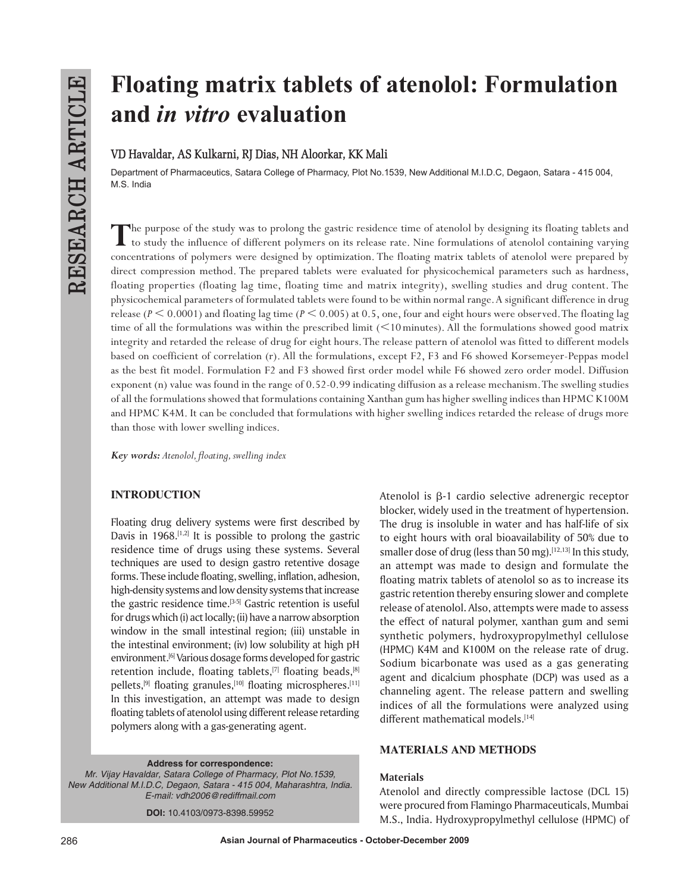# **Floating matrix tablets of atenolol: Formulation and** *in vitro* **evaluation**

# **VD Havaldar, AS Kulkarni, RJ Dias, NH Aloorkar, KK Mali**

Department of Pharmaceutics, Satara College of Pharmacy, Plot No.1539, New Additional M.I.D.C, Degaon, Satara - 415 004, M.S. India

The purpose of the study was to prolong the gastric residence time of atenolol by designing its floating tablets and<br>to study the influence of different polymers on its release rate. Nine formulations of atenolol containin concentrations of polymers were designed by optimization. The floating matrix tablets of atenolol were prepared by direct compression method. The prepared tablets were evaluated for physicochemical parameters such as hardness, floating properties (floating lag time, floating time and matrix integrity), swelling studies and drug content. The physicochemical parameters of formulated tablets were found to be within normal range. A significant difference in drug release ( $P \le 0.0001$ ) and floating lag time ( $P \le 0.005$ ) at 0.5, one, four and eight hours were observed. The floating lag time of all the formulations was within the prescribed limit  $(<10$  minutes). All the formulations showed good matrix integrity and retarded the release of drug for eight hours. The release pattern of atenolol was fitted to different models based on coefficient of correlation (r). All the formulations, except F2, F3 and F6 showed Korsemeyer-Peppas model as the best fit model. Formulation F2 and F3 showed first order model while F6 showed zero order model. Diffusion exponent (n) value was found in the range of 0.52-0.99 indicating diffusion as a release mechanism. The swelling studies of all the formulations showed that formulations containing Xanthan gum has higher swelling indices than HPMC K100M and HPMC K4M. It can be concluded that formulations with higher swelling indices retarded the release of drugs more than those with lower swelling indices.

*Key words: Atenolol, floating, swelling index*

# **INTRODUCTION**

Floating drug delivery systems were first described by Davis in 1968.<sup>[1,2]</sup> It is possible to prolong the gastric residence time of drugs using these systems. Several techniques are used to design gastro retentive dosage forms. These include floating, swelling, inflation, adhesion, high-density systems and low density systems that increase the gastric residence time.[3-5] Gastric retention is useful for drugs which (i) act locally; (ii) have a narrow absorption window in the small intestinal region; (iii) unstable in the intestinal environment; (iv) low solubility at high pH environment.<sup>[6]</sup> Various dosage forms developed for gastric retention include, floating tablets,<sup>[7]</sup> floating beads,<sup>[8]</sup> pellets,<sup>[9]</sup> floating granules,<sup>[10]</sup> floating microspheres.<sup>[11]</sup> In this investigation, an attempt was made to design floating tablets of atenolol using different release retarding polymers along with a gas-generating agent.

**Address for correspondence:** *Mr. Vijay Havaldar, Satara College of Pharmacy, Plot No.1539, New Additional M.I.D.C, Degaon, Satara - 415 004, Maharashtra, India. E-mail: vdh2006@rediffmail.com*

**DOI:** 10.4103/0973-8398.59952

Atenolol is  $\beta$ -1 cardio selective adrenergic receptor blocker, widely used in the treatment of hypertension. The drug is insoluble in water and has half-life of six to eight hours with oral bioavailability of 50% due to smaller dose of drug (less than 50 mg).<sup>[12,13]</sup> In this study, an attempt was made to design and formulate the floating matrix tablets of atenolol so as to increase its gastric retention thereby ensuring slower and complete release of atenolol. Also, attempts were made to assess the effect of natural polymer, xanthan gum and semi synthetic polymers, hydroxypropylmethyl cellulose (HPMC) K4M and K100M on the release rate of drug. Sodium bicarbonate was used as a gas generating agent and dicalcium phosphate (DCP) was used as a channeling agent. The release pattern and swelling indices of all the formulations were analyzed using different mathematical models.[14]

## **MATERIALS AND METHODS**

#### **Materials**

Atenolol and directly compressible lactose (DCL 15) were procured from Flamingo Pharmaceuticals, Mumbai M.S., India. Hydroxypropylmethyl cellulose (HPMC) of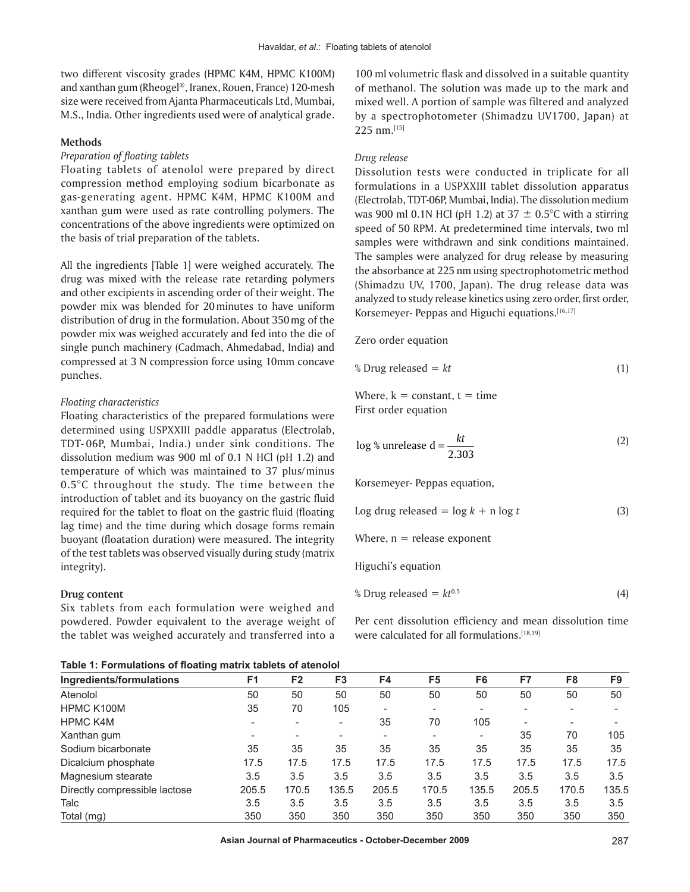two different viscosity grades (HPMC K4M, HPMC K100M) and xanthan gum (Rheogel®, Iranex, Rouen, France) 120-mesh size were received from Ajanta Pharmaceuticals Ltd, Mumbai, M.S., India. Other ingredients used were of analytical grade.

#### **Methods**

## *Preparation of floating tablets*

Floating tablets of atenolol were prepared by direct compression method employing sodium bicarbonate as gas-generating agent. HPMC K4M, HPMC K100M and xanthan gum were used as rate controlling polymers. The concentrations of the above ingredients were optimized on the basis of trial preparation of the tablets.

All the ingredients [Table 1] were weighed accurately. The drug was mixed with the release rate retarding polymers and other excipients in ascending order of their weight. The powder mix was blended for 20minutes to have uniform distribution of drug in the formulation. About 350mg of the powder mix was weighed accurately and fed into the die of single punch machinery (Cadmach, Ahmedabad, India) and compressed at 3 N compression force using 10mm concave punches.

#### *Floating characteristics*

Floating characteristics of the prepared formulations were determined using USPXXIII paddle apparatus (Electrolab, TDT- 06P, Mumbai, India.) under sink conditions. The dissolution medium was 900 ml of 0.1 N HCl (pH 1.2) and temperature of which was maintained to 37 plus/minus  $0.5^{\circ}$ C throughout the study. The time between the introduction of tablet and its buoyancy on the gastric fluid required for the tablet to float on the gastric fluid (floating lag time) and the time during which dosage forms remain buoyant (floatation duration) were measured. The integrity of the test tablets was observed visually during study (matrix integrity).

#### **Drug content**

Six tablets from each formulation were weighed and powdered. Powder equivalent to the average weight of the tablet was weighed accurately and transferred into a

100 ml volumetric flask and dissolved in a suitable quantity of methanol. The solution was made up to the mark and mixed well. A portion of sample was filtered and analyzed by a spectrophotometer (Shimadzu UV1700, Japan) at 225 nm.[15]

#### *Drug release*

Dissolution tests were conducted in triplicate for all formulations in a USPXXIII tablet dissolution apparatus (Electrolab, TDT-06P, Mumbai, India). The dissolution medium was 900 ml 0.1N HCl (pH 1.2) at  $37 \pm 0.5^{\circ}$ C with a stirring speed of 50 RPM. At predetermined time intervals, two ml samples were withdrawn and sink conditions maintained. The samples were analyzed for drug release by measuring the absorbance at 225 nm using spectrophotometric method (Shimadzu UV, 1700, Japan). The drug release data was analyzed to study release kinetics using zero order, first order, Korsemeyer- Peppas and Higuchi equations.<sup>[16,17]</sup>

#### Zero order equation

$$
\text{\% Drug released} = kt \tag{1}
$$

Where,  $k = constant$ ,  $t = time$ First order equation

$$
\log \frac{1}{6} \text{unrelease d} = \frac{kt}{2.303} \tag{2}
$$

Korsemeyer- Peppas equation,

Log drug released = 
$$
\log k + n \log t
$$
 (3)  
Where, n = release exponent  
High's equation

% Drug released = 
$$
kt^{0.5}
$$
 (4)

Per cent dissolution efficiency and mean dissolution time were calculated for all formulations.<sup>[18,19]</sup>

**Table 1: Formulations of floating matrix tablets of atenolol**

| Ingredients/formulations      | F1                       | F <sub>2</sub> | F <sub>3</sub> | F4    | F <sub>5</sub> | F6                       | F7    | F <sub>8</sub> | F9    |
|-------------------------------|--------------------------|----------------|----------------|-------|----------------|--------------------------|-------|----------------|-------|
| Atenolol                      | 50                       | 50             | 50             | 50    | 50             | 50                       | 50    | 50             | 50    |
| HPMC K100M                    | 35                       | 70             | 105            |       | ٠              | $\overline{\phantom{0}}$ |       |                |       |
| <b>HPMC K4M</b>               |                          |                |                | 35    | 70             | 105                      |       |                |       |
| Xanthan gum                   | $\overline{\phantom{a}}$ |                |                |       | -              |                          | 35    | 70             | 105   |
| Sodium bicarbonate            | 35                       | 35             | 35             | 35    | 35             | 35                       | 35    | 35             | 35    |
| Dicalcium phosphate           | 17.5                     | 17.5           | 17.5           | 17.5  | 17.5           | 17.5                     | 17.5  | 17.5           | 17.5  |
| Magnesium stearate            | 3.5                      | 3.5            | 3.5            | 3.5   | 3.5            | 3.5                      | 3.5   | 3.5            | 3.5   |
| Directly compressible lactose | 205.5                    | 170.5          | 135.5          | 205.5 | 170.5          | 135.5                    | 205.5 | 170.5          | 135.5 |
| Talc                          | 3.5                      | 3.5            | 3.5            | 3.5   | 3.5            | 3.5                      | 3.5   | 3.5            | 3.5   |
| Total (mg)                    | 350                      | 350            | 350            | 350   | 350            | 350                      | 350   | 350            | 350   |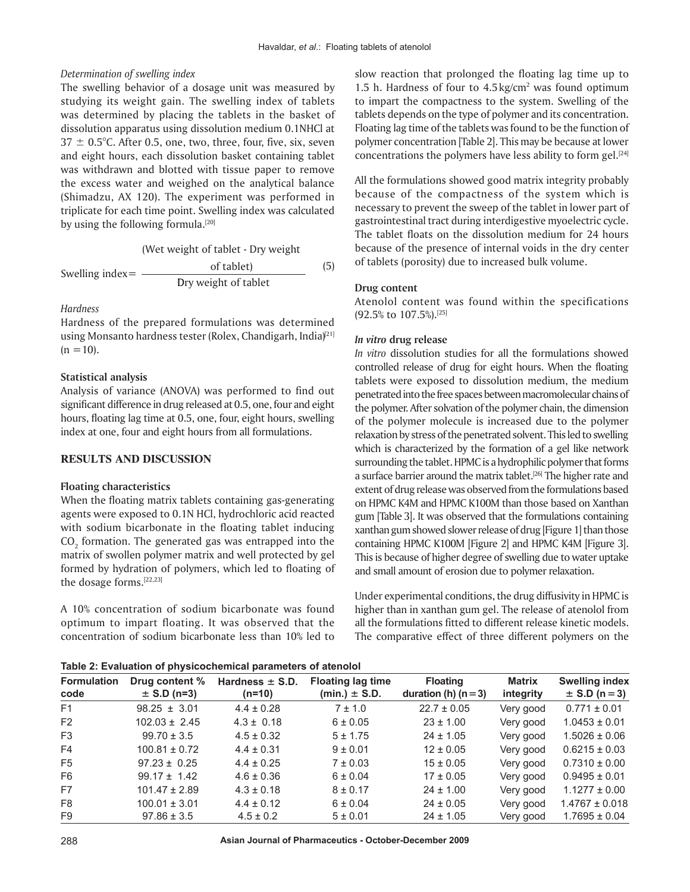#### *Determination of swelling index*

The swelling behavior of a dosage unit was measured by studying its weight gain. The swelling index of tablets was determined by placing the tablets in the basket of dissolution apparatus using dissolution medium 0.1NHCl at  $37 \pm 0.5^{\circ}$ C. After 0.5, one, two, three, four, five, six, seven and eight hours, each dissolution basket containing tablet was withdrawn and blotted with tissue paper to remove the excess water and weighed on the analytical balance (Shimadzu, AX 120). The experiment was performed in triplicate for each time point. Swelling index was calculated by using the following formula.<sup>[20]</sup>

(We't weight of tablet - Dry weight  
\nSwelling index = 
$$
\frac{\text{of tablet}}{\text{Dry weight of tablet}}
$$
)\n

#### *Hardness*

Hardness of the prepared formulations was determined using Monsanto hardness tester (Rolex, Chandigarh, India)<sup>[21]</sup>  $(n = 10)$ .

#### **Statistical analysis**

Analysis of variance (ANOVA) was performed to find out significant difference in drug released at 0.5, one, four and eight hours, floating lag time at 0.5, one, four, eight hours, swelling index at one, four and eight hours from all formulations.

#### **RESULTS AND DISCUSSION**

#### **Floating characteristics**

When the floating matrix tablets containing gas-generating agents were exposed to 0.1N HCl, hydrochloric acid reacted with sodium bicarbonate in the floating tablet inducing  $\mathrm{CO}_2$  formation. The generated gas was entrapped into the matrix of swollen polymer matrix and well protected by gel formed by hydration of polymers, which led to floating of the dosage forms.<sup>[22,23]</sup>

A 10% concentration of sodium bicarbonate was found optimum to impart floating. It was observed that the concentration of sodium bicarbonate less than 10% led to slow reaction that prolonged the floating lag time up to 1.5 h. Hardness of four to  $4.5 \text{ kg/cm}^2$  was found optimum to impart the compactness to the system. Swelling of the tablets depends on the type of polymer and its concentration. Floating lag time of the tablets was found to be the function of polymer concentration [Table 2]. This may be because at lower concentrations the polymers have less ability to form gel. $[24]$ 

All the formulations showed good matrix integrity probably because of the compactness of the system which is necessary to prevent the sweep of the tablet in lower part of gastrointestinal tract during interdigestive myoelectric cycle. The tablet floats on the dissolution medium for 24 hours because of the presence of internal voids in the dry center of tablets (porosity) due to increased bulk volume.

#### **Drug content**

Atenolol content was found within the specifications (92.5% to 107.5%).[25]

#### *In vitro* **drug release**

*In vitro* dissolution studies for all the formulations showed controlled release of drug for eight hours. When the floating tablets were exposed to dissolution medium, the medium penetrated into the free spaces between macromolecular chains of the polymer. After solvation of the polymer chain, the dimension of the polymer molecule is increased due to the polymer relaxation by stress of the penetrated solvent. This led to swelling which is characterized by the formation of a gel like network surrounding the tablet. HPMC is a hydrophilic polymer that forms a surface barrier around the matrix tablet.<sup>[26]</sup> The higher rate and extent of drug release was observed from the formulations based on HPMC K4M and HPMC K100M than those based on Xanthan gum [Table 3]. It was observed that the formulations containing xanthan gum showed slower release of drug [Figure 1] than those containing HPMC K100M [Figure 2] and HPMC K4M [Figure 3]. This is because of higher degree of swelling due to water uptake and small amount of erosion due to polymer relaxation.

Under experimental conditions, the drug diffusivity in HPMC is higher than in xanthan gum gel. The release of atenolol from all the formulations fitted to different release kinetic models. The comparative effect of three different polymers on the

#### **Table 2: Evaluation of physicochemical parameters of atenolol**

| <b>Formulation</b><br>code | Drug content %<br>$\pm$ S.D (n=3) | Hardness $\pm$ S.D.<br>$(n=10)$ | <b>Floating lag time</b><br>$(min.) \pm S.D.$ | <b>Floating</b><br>duration (h) $(n=3)$ | <b>Matrix</b><br>integrity | <b>Swelling index</b><br>$\pm$ S.D (n = 3) |  |
|----------------------------|-----------------------------------|---------------------------------|-----------------------------------------------|-----------------------------------------|----------------------------|--------------------------------------------|--|
| F <sub>1</sub>             | $98.25 \pm 3.01$                  | $4.4 \pm 0.28$                  | $7 \pm 1.0$                                   | $22.7 \pm 0.05$                         | Very good                  | $0.771 \pm 0.01$                           |  |
| F <sub>2</sub>             | $102.03 \pm 2.45$                 | $4.3 \pm 0.18$                  | $6 \pm 0.05$                                  | $23 \pm 1.00$                           | Very good                  | $1.0453 \pm 0.01$                          |  |
| F <sub>3</sub>             | $99.70 \pm 3.5$                   | $4.5 \pm 0.32$                  | $5 \pm 1.75$                                  | $24 \pm 1.05$                           | Very good                  | $1.5026 \pm 0.06$                          |  |
| F4                         | $100.81 \pm 0.72$                 | $4.4 \pm 0.31$                  | $9 \pm 0.01$                                  | $12 \pm 0.05$                           | Very good                  | $0.6215 \pm 0.03$                          |  |
| F <sub>5</sub>             | $97.23 \pm 0.25$                  | $4.4 \pm 0.25$                  | $7 \pm 0.03$                                  | $15 \pm 0.05$                           | Very good                  | $0.7310 \pm 0.00$                          |  |
| F <sub>6</sub>             | $99.17 \pm 1.42$                  | $4.6 \pm 0.36$                  | $6 \pm 0.04$                                  | $17 \pm 0.05$                           | Very good                  | $0.9495 \pm 0.01$                          |  |
| F7                         | $101.47 \pm 2.89$                 | $4.3 \pm 0.18$                  | $8 \pm 0.17$                                  | $24 \pm 1.00$                           | Very good                  | $1.1277 \pm 0.00$                          |  |
| F8                         | $100.01 \pm 3.01$                 | $4.4 \pm 0.12$                  | $6 \pm 0.04$                                  | $24 \pm 0.05$                           | Very good                  | $1.4767 \pm 0.018$                         |  |
| F9                         | $97.86 \pm 3.5$                   | $4.5 \pm 0.2$                   | 5 ± 0.01                                      | $24 \pm 1.05$                           | Very good                  | $1.7695 \pm 0.04$                          |  |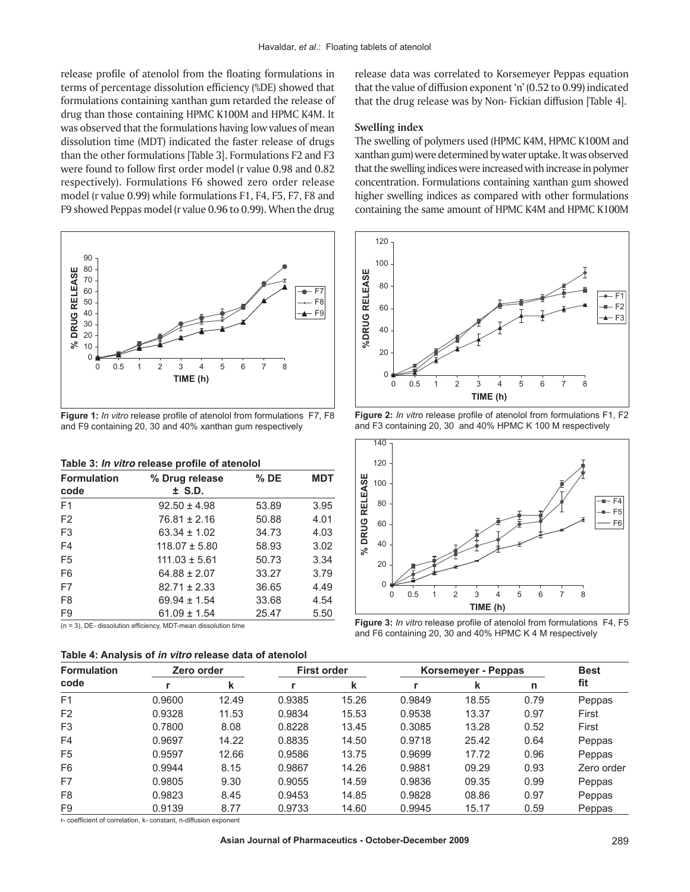release profile of atenolol from the floating formulations in terms of percentage dissolution efficiency (%DE) showed that formulations containing xanthan gum retarded the release of drug than those containing HPMC K100M and HPMC K4M. It was observed that the formulations having low values of mean dissolution time (MDT) indicated the faster release of drugs than the other formulations [Table 3]. Formulations F2 and F3 were found to follow first order model (r value 0.98 and 0.82 respectively). Formulations F6 showed zero order release model (r value 0.99) while formulations F1, F4, F5, F7, F8 and F9 showed Peppas model (r value 0.96 to 0.99). When the drug



**Figure 1:** *In vitro* release profile of atenolol from formulations F7, F8 and F9 containing 20, 30 and 40% xanthan gum respectively

| Table 3: In vitro release profile of atenolol |  |  |  |  |  |  |
|-----------------------------------------------|--|--|--|--|--|--|
|-----------------------------------------------|--|--|--|--|--|--|

| <b>Formulation</b><br>code | % Drug release<br>$±$ S.D. | $%$ DE | <b>MDT</b> |
|----------------------------|----------------------------|--------|------------|
| F <sub>1</sub>             | $92.50 \pm 4.98$           | 53.89  | 3.95       |
| F <sub>2</sub>             | $76.81 \pm 2.16$           | 50.88  | 4.01       |
| F <sub>3</sub>             | $63.34 \pm 1.02$           | 34.73  | 4.03       |
| F4                         | $118.07 \pm 5.80$          | 58.93  | 3.02       |
| F <sub>5</sub>             | $111.03 \pm 5.61$          | 50.73  | 3.34       |
| F <sub>6</sub>             | $64.88 \pm 2.07$           | 33.27  | 3.79       |
| F7                         | $82.71 \pm 2.33$           | 36.65  | 4.49       |
| F <sub>8</sub>             | $69.94 \pm 1.54$           | 33.68  | 4.54       |
| F <sub>9</sub>             | $61.09 \pm 1.54$           | 25.47  | 5.50       |

(n = 3), DE- dissolution efficiency, MDT-mean dissolution time

| Table 4: Analysis of in vitro release data of atenolol |  |  |  |  |
|--------------------------------------------------------|--|--|--|--|
|--------------------------------------------------------|--|--|--|--|

release data was correlated to Korsemeyer Peppas equation that the value of diffusion exponent 'n' (0.52 to 0.99) indicated that the drug release was by Non- Fickian diffusion [Table 4].

#### **Swelling index**

The swelling of polymers used (HPMC K4M, HPMC K100M and xanthan gum) were determined by water uptake. It was observed that the swelling indices were increased with increase in polymer concentration. Formulations containing xanthan gum showed higher swelling indices as compared with other formulations containing the same amount of HPMC K4M and HPMC K100M



**Figure 2:** *In vitro* release profile of atenolol from formulations F1, F2 and F3 containing 20, 30 and 40% HPMC K 100 M respectively



**Figure 3:** *In vitro* release profile of atenolol from formulations F4, F5 and F6 containing 20, 30 and 40% HPMC K 4 M respectively

| <b>Formulation</b><br>code |        | Zero order |        | <b>First order</b> |        | Korsemeyer - Peppas |      |            |
|----------------------------|--------|------------|--------|--------------------|--------|---------------------|------|------------|
|                            |        | k          |        | k                  |        | k                   | n    | fit        |
| F <sub>1</sub>             | 0.9600 | 12.49      | 0.9385 | 15.26              | 0.9849 | 18.55               | 0.79 | Peppas     |
| F <sub>2</sub>             | 0.9328 | 11.53      | 0.9834 | 15.53              | 0.9538 | 13.37               | 0.97 | First      |
| F <sub>3</sub>             | 0.7800 | 8.08       | 0.8228 | 13.45              | 0.3085 | 13.28               | 0.52 | First      |
| F4                         | 0.9697 | 14.22      | 0.8835 | 14.50              | 0.9718 | 25.42               | 0.64 | Peppas     |
| F <sub>5</sub>             | 0.9597 | 12.66      | 0.9586 | 13.75              | 0.9699 | 17.72               | 0.96 | Peppas     |
| F <sub>6</sub>             | 0.9944 | 8.15       | 0.9867 | 14.26              | 0.9881 | 09.29               | 0.93 | Zero order |
| F7                         | 0.9805 | 9.30       | 0.9055 | 14.59              | 0.9836 | 09.35               | 0.99 | Peppas     |
| F <sub>8</sub>             | 0.9823 | 8.45       | 0.9453 | 14.85              | 0.9828 | 08.86               | 0.97 | Peppas     |
| F <sub>9</sub>             | 0.9139 | 8.77       | 0.9733 | 14.60              | 0.9945 | 15.17               | 0.59 | Peppas     |

r- coefficient of correlation, k- constant, n-diffusion exponent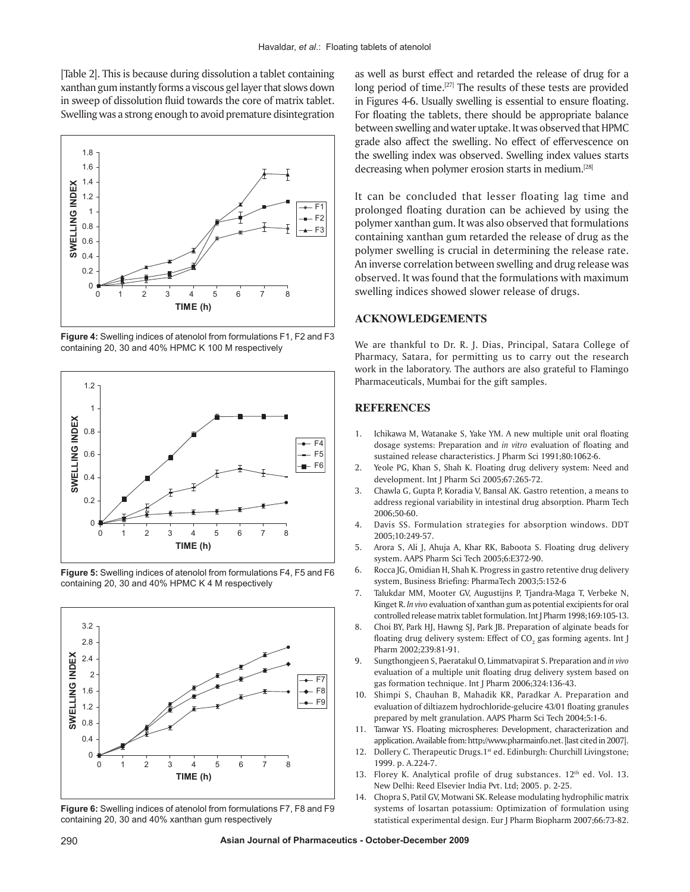[Table 2]. This is because during dissolution a tablet containing xanthan gum instantly forms a viscous gel layer that slows down in sweep of dissolution fluid towards the core of matrix tablet. Swelling was a strong enough to avoid premature disintegration



**Figure 4:** Swelling indices of atenolol from formulations F1, F2 and F3 containing 20, 30 and 40% HPMC K 100 M respectively



**Figure 5:** Swelling indices of atenolol from formulations F4, F5 and F6 containing 20, 30 and 40% HPMC K 4 M respectively



**Figure 6:** Swelling indices of atenolol from formulations F7, F8 and F9 containing 20, 30 and 40% xanthan gum respectively

as well as burst effect and retarded the release of drug for a long period of time.<sup>[27]</sup> The results of these tests are provided in Figures 4-6. Usually swelling is essential to ensure floating. For floating the tablets, there should be appropriate balance between swelling and water uptake. It was observed that HPMC grade also affect the swelling. No effect of effervescence on the swelling index was observed. Swelling index values starts decreasing when polymer erosion starts in medium.[28]

It can be concluded that lesser floating lag time and prolonged floating duration can be achieved by using the polymer xanthan gum. It was also observed that formulations containing xanthan gum retarded the release of drug as the polymer swelling is crucial in determining the release rate. An inverse correlation between swelling and drug release was observed. It was found that the formulations with maximum swelling indices showed slower release of drugs.

## **ACKNOWLEDGEMENTS**

We are thankful to Dr. R. J. Dias, Principal, Satara College of Pharmacy, Satara, for permitting us to carry out the research work in the laboratory. The authors are also grateful to Flamingo Pharmaceuticals, Mumbai for the gift samples.

## **REFERENCES**

- 1. Ichikawa M, Watanake S, Yake YM. A new multiple unit oral floating dosage systems: Preparation and *in vitro* evaluation of floating and sustained release characteristics. J Pharm Sci 1991;80:1062-6.
- 2. Yeole PG, Khan S, Shah K. Floating drug delivery system: Need and development. Int J Pharm Sci 2005;67:265-72.
- 3. Chawla G, Gupta P, Koradia V, Bansal AK. Gastro retention, a means to address regional variability in intestinal drug absorption. Pharm Tech 2006;50-60.
- 4. Davis SS. Formulation strategies for absorption windows. DDT 2005;10:249-57.
- 5. Arora S, Ali J, Ahuja A, Khar RK, Baboota S. Floating drug delivery system. AAPS Pharm Sci Tech 2005;6:E372-90.
- 6. Rocca JG, Omidian H, Shah K. Progress in gastro retentive drug delivery system, Business Briefing: PharmaTech 2003;5:152-6
- 7. Talukdar MM, Mooter GV, Augustijns P, Tjandra-Maga T, Verbeke N, Kinget R. *In vivo* evaluation of xanthan gum as potential excipients for oral controlled release matrix tablet formulation. Int J Pharm 1998;169:105-13.
- 8. Choi BY, Park HJ, Hawng SJ, Park JB. Preparation of alginate beads for floating drug delivery system: Effect of CO $_{_2}$  gas forming agents. Int J Pharm 2002;239:81-91.
- 9. Sungthongjeen S, Paeratakul O, Limmatvapirat S. Preparation and *in vivo*  evaluation of a multiple unit floating drug delivery system based on gas formation technique. Int J Pharm 2006;324:136-43.
- 10. Shimpi S, Chauhan B, Mahadik KR, Paradkar A. Preparation and evaluation of diltiazem hydrochloride-gelucire 43/01 floating granules prepared by melt granulation. AAPS Pharm Sci Tech 2004;5:1-6.
- 11. Tanwar YS. Floating microspheres: Development, characterization and application. Available from: http://www.pharmainfo.net. [last cited in 2007].
- Dollery C. Therapeutic Drugs.1<sup>st</sup> ed. Edinburgh: Churchill Livingstone; 1999. p. A.224-7.
- 13. Florey K. Analytical profile of drug substances. 12<sup>th</sup> ed. Vol. 13. New Delhi: Reed Elsevier India Pvt. Ltd; 2005. p. 2-25.
- 14. Chopra S, Patil GV, Motwani SK. Release modulating hydrophilic matrix systems of losartan potassium: Optimization of formulation using statistical experimental design. Eur J Pharm Biopharm 2007;66:73-82.